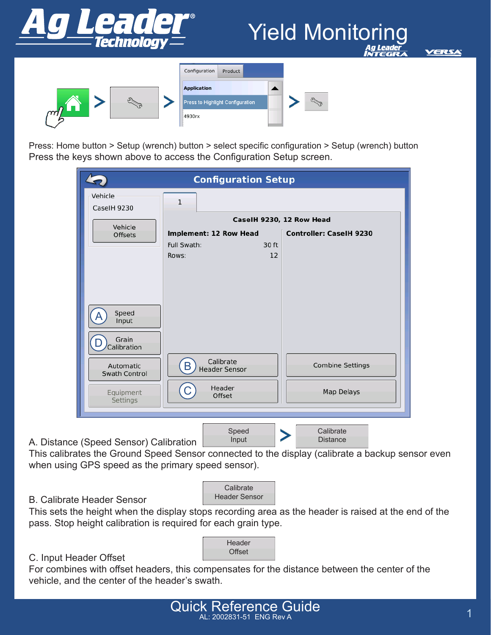

# Yield Monitoring



| <b>Application</b><br>Press to Highlight Configuration<br>4930rx |  |
|------------------------------------------------------------------|--|

Press: Home button > Setup (wrench) button > select specific configuration > Setup (wrench) button Press the keys shown above to access the Configuration Setup screen.

|                                        | <b>Configuration Setup</b>                       |                                                            |
|----------------------------------------|--------------------------------------------------|------------------------------------------------------------|
| Vehicle<br>CaselH 9230                 | $\mathbf{1}$                                     |                                                            |
| Vehicle<br><b>Offsets</b>              | Implement: 12 Row Head                           | CaselH 9230, 12 Row Head<br><b>Controller: CaselH 9230</b> |
|                                        | Full Swath:<br>30 ft<br>Rows:<br>12              |                                                            |
| Speed<br>Input<br>Grain<br>Calibration |                                                  |                                                            |
| Automatic                              | Calibrate<br>$\mathsf B$<br><b>Header Sensor</b> | Combine Settings                                           |
| <b>Swath Control</b>                   |                                                  |                                                            |
|                                        |                                                  |                                                            |

This calibrates the Ground Speed Sensor connected to the display (calibrate a backup sensor even when using GPS speed as the primary speed sensor).



B. Calibrate Header Sensor

This sets the height when the display stops recording area as the header is raised at the end of the pass. Stop height calibration is required for each grain type.



### C. Input Header Offset

For combines with offset headers, this compensates for the distance between the center of the vehicle, and the center of the header's swath.